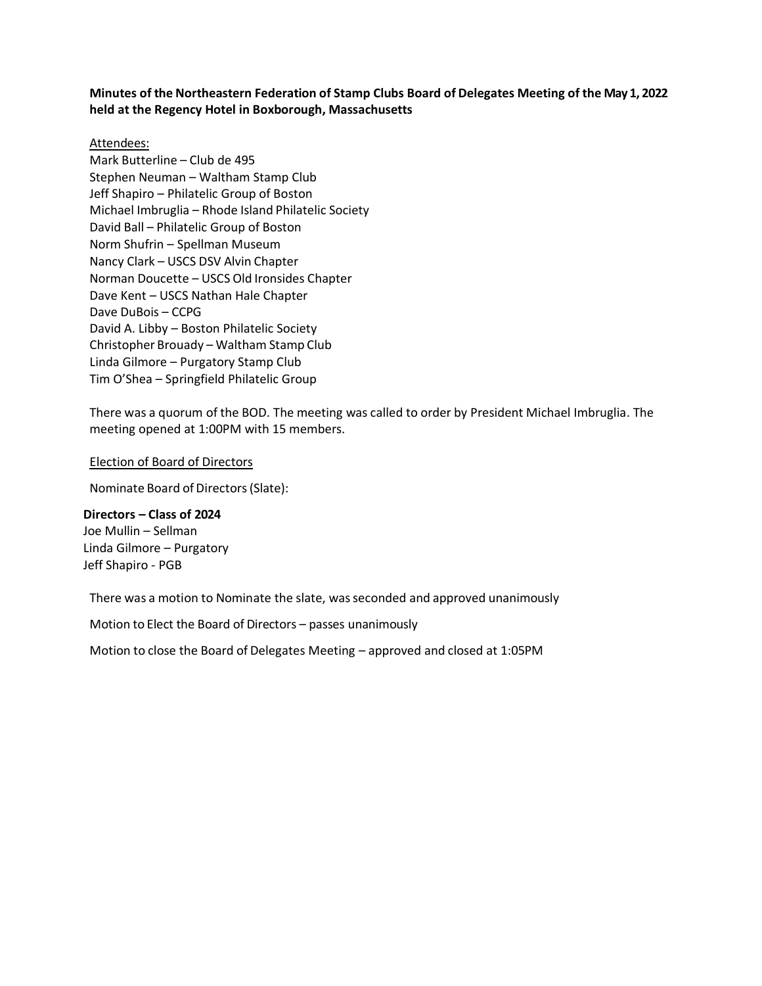# **Minutes of the Northeastern Federation of Stamp Clubs Board of Delegates Meeting of the May 1, 2022 held at the Regency Hotel in Boxborough, Massachusetts**

### Attendees:

Mark Butterline – Club de 495 Stephen Neuman – Waltham Stamp Club Jeff Shapiro – Philatelic Group of Boston Michael Imbruglia – Rhode Island Philatelic Society David Ball – Philatelic Group of Boston Norm Shufrin – Spellman Museum Nancy Clark – USCS DSV Alvin Chapter Norman Doucette – USCS Old Ironsides Chapter Dave Kent – USCS Nathan Hale Chapter Dave DuBois – CCPG David A. Libby – Boston Philatelic Society Christopher Brouady – Waltham Stamp Club Linda Gilmore – Purgatory Stamp Club Tim O'Shea – Springfield Philatelic Group

There was a quorum of the BOD. The meeting was called to order by President Michael Imbruglia. The meeting opened at 1:00PM with 15 members.

#### Election of Board of Directors

Nominate Board of Directors (Slate):

**Directors – Class of 2024** Joe Mullin – Sellman Linda Gilmore – Purgatory Jeff Shapiro - PGB

There was a motion to Nominate the slate, wasseconded and approved unanimously

Motion to Elect the Board of Directors – passes unanimously

Motion to close the Board of Delegates Meeting – approved and closed at 1:05PM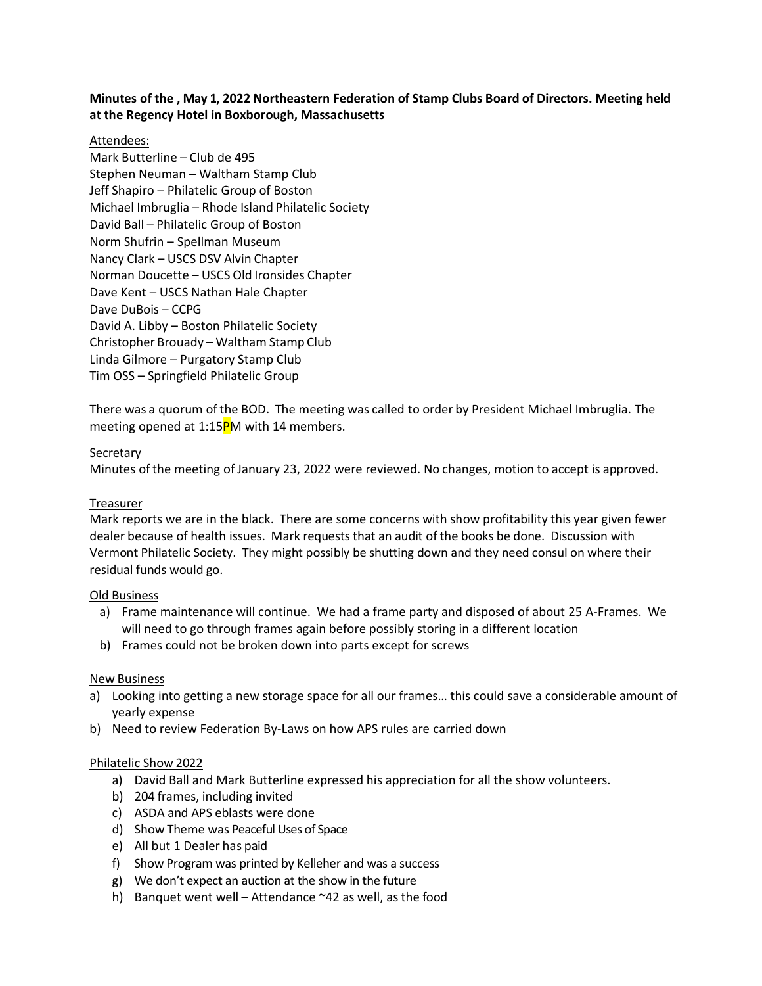# **Minutes of the , May 1, 2022 Northeastern Federation of Stamp Clubs Board of Directors. Meeting held at the Regency Hotel in Boxborough, Massachusetts**

# Attendees:

Mark Butterline – Club de 495 Stephen Neuman – Waltham Stamp Club Jeff Shapiro – Philatelic Group of Boston Michael Imbruglia – Rhode Island Philatelic Society David Ball – Philatelic Group of Boston Norm Shufrin – Spellman Museum Nancy Clark – USCS DSV Alvin Chapter Norman Doucette – USCS Old Ironsides Chapter Dave Kent – USCS Nathan Hale Chapter Dave DuBois – CCPG David A. Libby – Boston Philatelic Society Christopher Brouady – Waltham Stamp Club Linda Gilmore – Purgatory Stamp Club Tim OSS – Springfield Philatelic Group

There was a quorum of the BOD. The meeting was called to order by President Michael Imbruglia. The meeting opened at 1:15PM with 14 members.

#### **Secretary**

Minutes of the meeting of January 23, 2022 were reviewed. No changes, motion to accept is approved.

#### Treasurer

Mark reports we are in the black. There are some concerns with show profitability this year given fewer dealer because of health issues. Mark requests that an audit of the books be done. Discussion with Vermont Philatelic Society. They might possibly be shutting down and they need consul on where their residual funds would go.

#### Old Business

- a) Frame maintenance will continue. We had a frame party and disposed of about 25 A-Frames. We will need to go through frames again before possibly storing in a different location
- b) Frames could not be broken down into parts except for screws

#### New Business

- a) Looking into getting a new storage space for all our frames… this could save a considerable amount of yearly expense
- b) Need to review Federation By-Laws on how APS rules are carried down

#### Philatelic Show 2022

- a) David Ball and Mark Butterline expressed his appreciation for all the show volunteers.
- b) 204 frames, including invited
- c) ASDA and APS eblasts were done
- d) Show Theme was Peaceful Uses of Space
- e) All but 1 Dealer has paid
- f) Show Program was printed by Kelleher and was a success
- g) We don't expect an auction at the show in the future
- h) Banquet went well Attendance  $\sim$  42 as well, as the food